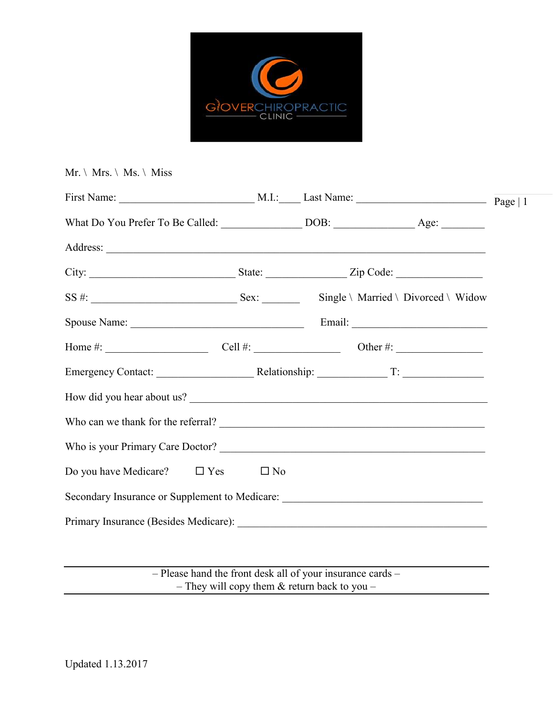

#### $Mr. \backslash Mrs. \backslash Ms. \backslash Miss$

| How did you hear about us?                                                        |  |  |
|-----------------------------------------------------------------------------------|--|--|
| Who can we thank for the referral?                                                |  |  |
|                                                                                   |  |  |
| Do you have Medicare? $\square$ Yes $\square$ No                                  |  |  |
| Secondary Insurance or Supplement to Medicare: __________________________________ |  |  |
|                                                                                   |  |  |
|                                                                                   |  |  |

– Please hand the front desk all of your insurance cards – – They will copy them & return back to you –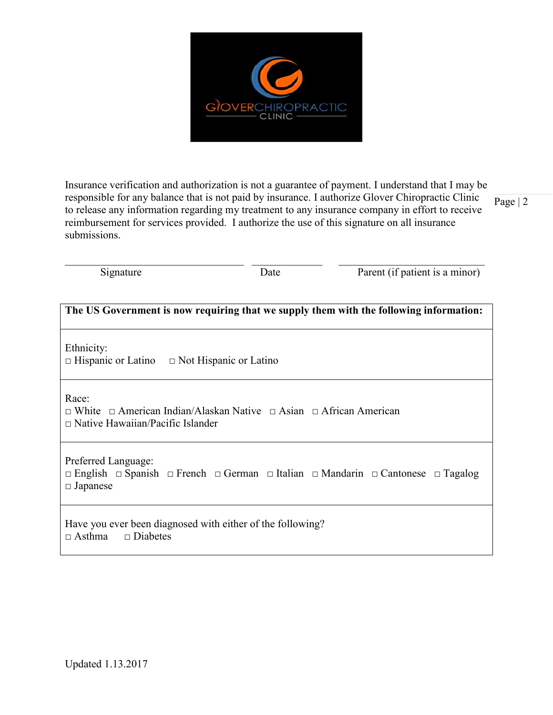

Insurance verification and authorization is not a guarantee of payment. I understand that I may be responsible for any balance that is not paid by insurance. I authorize Glover Chiropractic Clinic to release any information regarding my treatment to any insurance company in effort to receive reimbursement for services provided. I authorize the use of this signature on all insurance submissions.

Page | 2

 $\_$  , and the set of the set of the set of the set of the set of the set of the set of the set of the set of the set of the set of the set of the set of the set of the set of the set of the set of the set of the set of th

Signature Date Date Parent (if patient is a minor)

| The US Government is now requiring that we supply them with the following information:                                                                             |  |  |
|--------------------------------------------------------------------------------------------------------------------------------------------------------------------|--|--|
| Ethnicity:<br>$\Box$ Hispanic or Latino $\Box$ Not Hispanic or Latino                                                                                              |  |  |
| Race:<br>$\Box$ White $\Box$ American Indian/Alaskan Native $\Box$ Asian $\Box$ African American<br>$\Box$ Native Hawaiian/Pacific Islander                        |  |  |
| Preferred Language:<br>$\Box$ English $\Box$ Spanish $\Box$ French $\Box$ German $\Box$ Italian $\Box$ Mandarin $\Box$ Cantonese $\Box$ Tagalog<br>$\Box$ Japanese |  |  |
| Have you ever been diagnosed with either of the following?<br>$\Box$ Diabetes<br>$\Box$ Asthma                                                                     |  |  |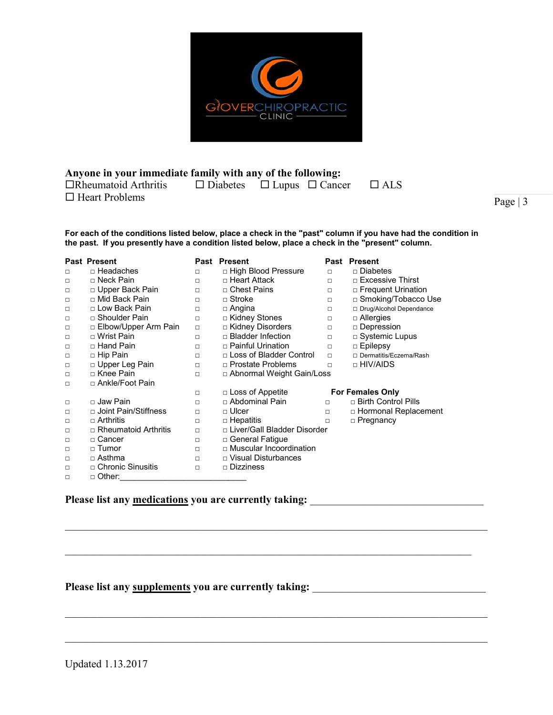

**Anyone in your immediate family with any of the following:**  $\Box$ Rheumatoid Arthritis  $\Box$  Diabetes  $\Box$  Lupus  $\Box$  Cancer  $\Box$  ALS  $\Box$  Heart Problems

Page | 3

**For each of the conditions listed below, place a check in the "past" column if you have had the condition in the past. If you presently have a condition listed below, place a check in the "present" column.**

|        | <b>Past Present</b>         | Past   | <b>Present</b>                | Past   | <b>Present</b>            |
|--------|-----------------------------|--------|-------------------------------|--------|---------------------------|
| п      | □ Headaches                 | □      | □ High Blood Pressure         | $\Box$ | □ Diabetes                |
| □      | □ Neck Pain                 | $\Box$ | □ Heart Attack                | $\Box$ | $\Box$ Excessive Thirst   |
| □      | □ Upper Back Pain           | □      | □ Chest Pains                 | $\Box$ | □ Frequent Urination      |
| □      | □ Mid Back Pain             | □      | □ Stroke                      | $\Box$ | □ Smoking/Tobacco Use     |
| □      | □ Low Back Pain             | □      | $\Box$ Angina                 | □      | □ Drug/Alcohol Dependance |
| $\Box$ | □ Shoulder Pain             | □      | □ Kidney Stones               | □      | $\Box$ Allergies          |
| $\Box$ | □ Elbow/Upper Arm Pain      | $\Box$ | □ Kidney Disorders            | □      | □ Depression              |
| □      | □ Wrist Pain                | □      | $\Box$ Bladder Infection      | $\Box$ | $\Box$ Systemic Lupus     |
| $\Box$ | □ Hand Pain                 | $\Box$ | $\Box$ Painful Urination      | $\Box$ | $\Box$ Epilepsy           |
| $\Box$ | □ Hip Pain                  | □      | □ Loss of Bladder Control     | $\Box$ | □ Dermatitis/Eczema/Rash  |
| $\Box$ | $\Box$ Upper Leg Pain       | □      | □ Prostate Problems           | п      | □ HIV/AIDS                |
| □      | □ Knee Pain                 | $\Box$ | □ Abnormal Weight Gain/Loss   |        |                           |
| $\Box$ | □ Ankle/Foot Pain           |        |                               |        |                           |
|        |                             | □      | $\Box$ Loss of Appetite       |        | <b>For Females Only</b>   |
| $\Box$ | □ Jaw Pain                  | □      | □ Abdominal Pain              | $\Box$ | □ Birth Control Pills     |
| □      | □ Joint Pain/Stiffness      | □      | □ Ulcer                       | □      | □ Hormonal Replacement    |
| $\Box$ | $\Box$ Arthritis            | $\Box$ | $\Box$ Hepatitis              | $\Box$ | □ Pregnancy               |
| $\Box$ | $\Box$ Rheumatoid Arthritis | $\Box$ | □ Liver/Gall Bladder Disorder |        |                           |
| $\Box$ | □ Cancer                    | $\Box$ | □ General Fatigue             |        |                           |
| □      | □ Tumor                     | □      | □ Muscular Incoordination     |        |                           |
| □      | □ Asthma                    | $\Box$ | □ Visual Disturbances         |        |                           |
| □      | □ Chronic Sinusitis         | $\Box$ | □ Dizziness                   |        |                           |
| П      | □ Other:                    |        |                               |        |                           |

 $\mathcal{L}_\mathcal{L} = \{ \mathcal{L}_\mathcal{L} = \{ \mathcal{L}_\mathcal{L} = \{ \mathcal{L}_\mathcal{L} = \{ \mathcal{L}_\mathcal{L} = \{ \mathcal{L}_\mathcal{L} = \{ \mathcal{L}_\mathcal{L} = \{ \mathcal{L}_\mathcal{L} = \{ \mathcal{L}_\mathcal{L} = \{ \mathcal{L}_\mathcal{L} = \{ \mathcal{L}_\mathcal{L} = \{ \mathcal{L}_\mathcal{L} = \{ \mathcal{L}_\mathcal{L} = \{ \mathcal{L}_\mathcal{L} = \{ \mathcal{L}_\mathcal{$ 

 $\mathcal{L}_\mathcal{L} = \{ \mathcal{L}_\mathcal{L} = \{ \mathcal{L}_\mathcal{L} = \{ \mathcal{L}_\mathcal{L} = \{ \mathcal{L}_\mathcal{L} = \{ \mathcal{L}_\mathcal{L} = \{ \mathcal{L}_\mathcal{L} = \{ \mathcal{L}_\mathcal{L} = \{ \mathcal{L}_\mathcal{L} = \{ \mathcal{L}_\mathcal{L} = \{ \mathcal{L}_\mathcal{L} = \{ \mathcal{L}_\mathcal{L} = \{ \mathcal{L}_\mathcal{L} = \{ \mathcal{L}_\mathcal{L} = \{ \mathcal{L}_\mathcal{$ 

 $\mathcal{L}_\mathcal{L} = \{ \mathcal{L}_\mathcal{L} = \{ \mathcal{L}_\mathcal{L} = \{ \mathcal{L}_\mathcal{L} = \{ \mathcal{L}_\mathcal{L} = \{ \mathcal{L}_\mathcal{L} = \{ \mathcal{L}_\mathcal{L} = \{ \mathcal{L}_\mathcal{L} = \{ \mathcal{L}_\mathcal{L} = \{ \mathcal{L}_\mathcal{L} = \{ \mathcal{L}_\mathcal{L} = \{ \mathcal{L}_\mathcal{L} = \{ \mathcal{L}_\mathcal{L} = \{ \mathcal{L}_\mathcal{L} = \{ \mathcal{L}_\mathcal{$ 

 $\mathcal{L}_\mathcal{L} = \{ \mathcal{L}_\mathcal{L} = \{ \mathcal{L}_\mathcal{L} = \{ \mathcal{L}_\mathcal{L} = \{ \mathcal{L}_\mathcal{L} = \{ \mathcal{L}_\mathcal{L} = \{ \mathcal{L}_\mathcal{L} = \{ \mathcal{L}_\mathcal{L} = \{ \mathcal{L}_\mathcal{L} = \{ \mathcal{L}_\mathcal{L} = \{ \mathcal{L}_\mathcal{L} = \{ \mathcal{L}_\mathcal{L} = \{ \mathcal{L}_\mathcal{L} = \{ \mathcal{L}_\mathcal{L} = \{ \mathcal{L}_\mathcal{$ 

## **Please list any medications you are currently taking:** \_\_\_\_\_\_\_\_\_\_\_\_\_\_\_\_\_\_\_\_\_\_\_\_\_\_\_\_\_\_\_\_

## **Please list any supplements you are currently taking:** \_\_\_\_\_\_\_\_\_\_\_\_\_\_\_\_\_\_\_\_\_\_\_\_\_\_\_\_\_\_\_\_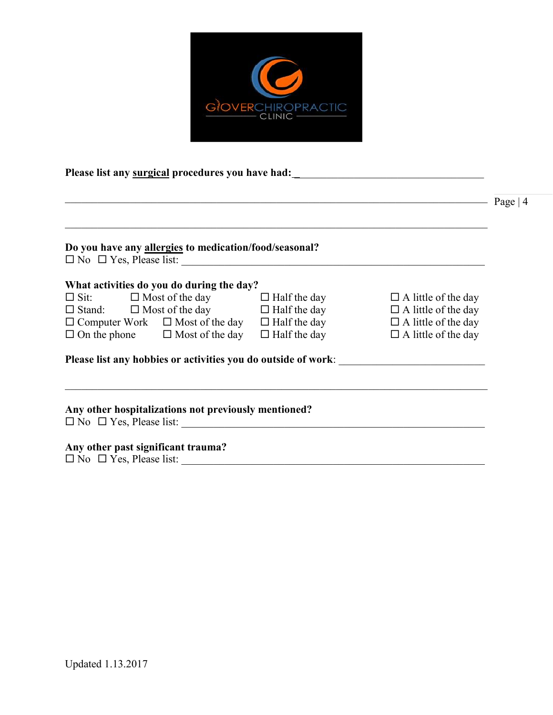

**Please list any surgical procedures you have had:** \_\_\_\_\_\_\_\_\_\_\_\_\_\_\_\_\_\_\_\_\_\_\_\_\_\_\_\_\_\_\_\_\_\_\_

| Do you have any allergies to medication/food/seasonal?                                     |                            |
|--------------------------------------------------------------------------------------------|----------------------------|
|                                                                                            |                            |
| What activities do you do during the day?                                                  |                            |
| $\Box$ Sit: $\Box$ Most of the day $\Box$ Half the day                                     | $\Box$ A little of the day |
| $\Box$ Stand: $\Box$ Most of the day $\Box$ Half the day                                   | $\Box$ A little of the day |
| $\Box$ Computer Work $\Box$ Most of the day $\Box$ Half the day                            | $\Box$ A little of the day |
| $\Box$ On the phone $\Box$ Most of the day $\Box$ Half the day                             | $\Box$ A little of the day |
| Please list any hobbies or activities you do outside of work: ___________________          |                            |
| Any other hospitalizations not previously mentioned?<br>$\Box$ No $\Box$ Yes, Please list: |                            |
| Any other past significant trauma?                                                         |                            |
| $\Box$ No $\Box$ Yes, Please list:                                                         |                            |

 $\sum_{\text{Page}} | 4$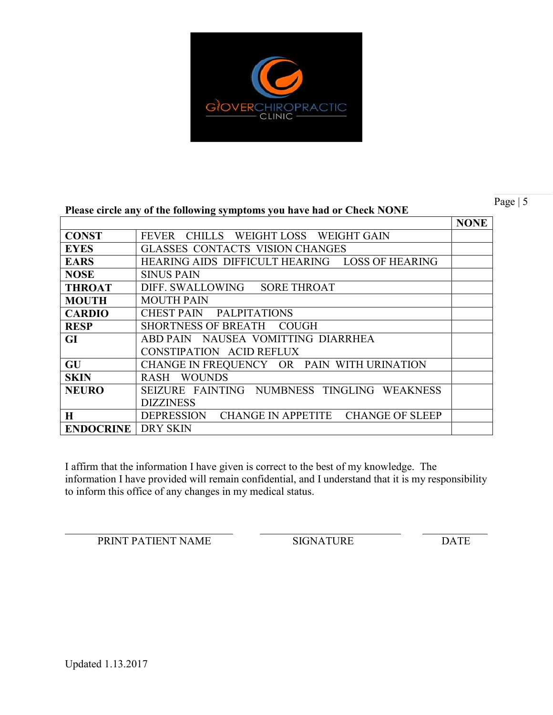

Page | 5

#### **Please circle any of the following symptoms you have had or Check NONE**

|                  |                                                | <b>NONE</b> |
|------------------|------------------------------------------------|-------------|
| <b>CONST</b>     | CHILLS WEIGHT LOSS WEIGHT GAIN<br><b>FEVER</b> |             |
| <b>EYES</b>      | <b>GLASSES CONTACTS VISION CHANGES</b>         |             |
| <b>EARS</b>      | HEARING AIDS DIFFICULT HEARING LOSS OF HEARING |             |
| <b>NOSE</b>      | <b>SINUS PAIN</b>                              |             |
| <b>THROAT</b>    | DIFF. SWALLOWING SORE THROAT                   |             |
| <b>MOUTH</b>     | <b>MOUTH PAIN</b>                              |             |
| <b>CARDIO</b>    | CHEST PAIN PALPITATIONS                        |             |
| <b>RESP</b>      | <b>SHORTNESS OF BREATH</b><br><b>COUGH</b>     |             |
| GI               | ABD PAIN NAUSEA VOMITTING DIARRHEA             |             |
|                  | CONSTIPATION ACID REFLUX                       |             |
| GU               | CHANGE IN FREQUENCY OR PAIN WITH URINATION     |             |
| <b>SKIN</b>      | <b>WOUNDS</b><br><b>RASH</b>                   |             |
| <b>NEURO</b>     | SEIZURE FAINTING NUMBNESS TINGLING WEAKNESS    |             |
|                  | <b>DIZZINESS</b>                               |             |
| $\bf H$          | DEPRESSION CHANGE IN APPETITE CHANGE OF SLEEP  |             |
| <b>ENDOCRINE</b> | <b>DRY SKIN</b>                                |             |

I affirm that the information I have given is correct to the best of my knowledge. The information I have provided will remain confidential, and I understand that it is my responsibility to inform this office of any changes in my medical status.

 $\_$  , and the contribution of the contribution of  $\mathcal{L}_\mathcal{A}$  , and the contribution of  $\mathcal{L}_\mathcal{A}$  , and the contribution of  $\mathcal{L}_\mathcal{A}$ 

PRINT PATIENT NAME SIGNATURE DATE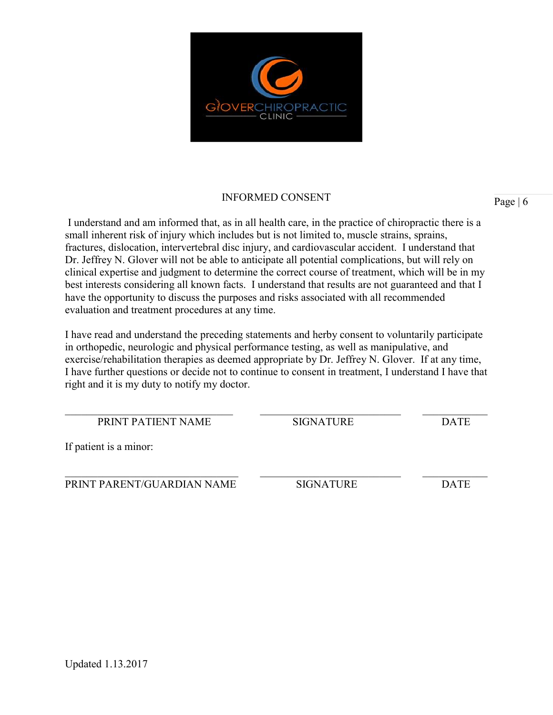

# INFORMED CONSENT Page | 6

I understand and am informed that, as in all health care, in the practice of chiropractic there is a small inherent risk of injury which includes but is not limited to, muscle strains, sprains, fractures, dislocation, intervertebral disc injury, and cardiovascular accident. I understand that Dr. Jeffrey N. Glover will not be able to anticipate all potential complications, but will rely on clinical expertise and judgment to determine the correct course of treatment, which will be in my best interests considering all known facts. I understand that results are not guaranteed and that I have the opportunity to discuss the purposes and risks associated with all recommended evaluation and treatment procedures at any time.

I have read and understand the preceding statements and herby consent to voluntarily participate in orthopedic, neurologic and physical performance testing, as well as manipulative, and exercise/rehabilitation therapies as deemed appropriate by Dr. Jeffrey N. Glover. If at any time, I have further questions or decide not to continue to consent in treatment, I understand I have that right and it is my duty to notify my doctor.

| <b>PRINT PATIENT NAME</b>  | <b>SIGNATURE</b> | <b>DATE</b> |
|----------------------------|------------------|-------------|
| If patient is a minor:     |                  |             |
|                            |                  |             |
| PRINT PARENT/GUARDIAN NAME | <b>SIGNATURE</b> | <b>DATE</b> |